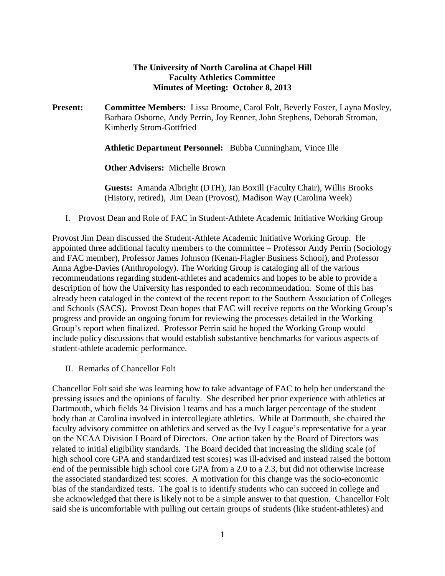## **The University of North Carolina at Chapel Hill Faculty Athletics Committee Minutes of Meeting: October 8, 2013**

**Present: Committee Members:** Lissa Broome, Carol Folt, Beverly Foster, Layna Mosley, Barbara Osborne, Andy Perrin, Joy Renner, John Stephens, Deborah Stroman, Kimberly Strom-Gottfried

**Athletic Department Personnel:** Bubba Cunningham, Vince Ille

**Other Advisers:** Michelle Brown

**Guests:** Amanda Albright (DTH), Jan Boxill (Faculty Chair), Willis Brooks (History, retired), Jim Dean (Provost), Madison Way (Carolina Week)

I. Provost Dean and Role of FAC in Student-Athlete Academic Initiative Working Group

Provost Jim Dean discussed the Student-Athlete Academic Initiative Working Group. He appointed three additional faculty members to the committee – Professor Andy Perrin (Sociology and FAC member), Professor James Johnson (Kenan-Flagler Business School), and Professor Anna Agbe-Davies (Anthropology). The Working Group is cataloging all of the various recommendations regarding student-athletes and academics and hopes to be able to provide a description of how the University has responded to each recommendation. Some of this has already been cataloged in the context of the recent report to the Southern Association of Colleges and Schools (SACS). Provost Dean hopes that FAC will receive reports on the Working Group's progress and provide an ongoing forum for reviewing the processes detailed in the Working Group's report when finalized. Professor Perrin said he hoped the Working Group would include policy discussions that would establish substantive benchmarks for various aspects of student-athlete academic performance.

II. Remarks of Chancellor Folt

Chancellor Folt said she was learning how to take advantage of FAC to help her understand the pressing issues and the opinions of faculty. She described her prior experience with athletics at Dartmouth, which fields 34 Division I teams and has a much larger percentage of the student body than at Carolina involved in intercollegiate athletics. While at Dartmouth, she chaired the faculty advisory committee on athletics and served as the Ivy League's representative for a year on the NCAA Division I Board of Directors. One action taken by the Board of Directors was related to initial eligibility standards. The Board decided that increasing the sliding scale (of high school core GPA and standardized test scores) was ill-advised and instead raised the bottom end of the permissible high school core GPA from a 2.0 to a 2.3, but did not otherwise increase the associated standardized test scores. A motivation for this change was the socio-economic bias of the standardized tests. The goal is to identify students who can succeed in college and she acknowledged that there is likely not to be a simple answer to that question. Chancellor Folt said she is uncomfortable with pulling out certain groups of students (like student-athletes) and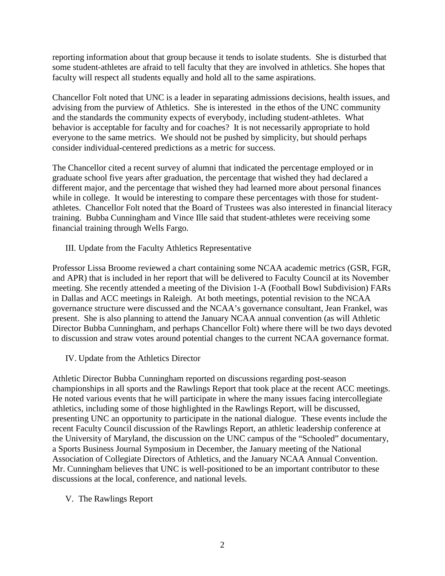reporting information about that group because it tends to isolate students. She is disturbed that some student-athletes are afraid to tell faculty that they are involved in athletics. She hopes that faculty will respect all students equally and hold all to the same aspirations.

Chancellor Folt noted that UNC is a leader in separating admissions decisions, health issues, and advising from the purview of Athletics. She is interested in the ethos of the UNC community and the standards the community expects of everybody, including student-athletes. What behavior is acceptable for faculty and for coaches? It is not necessarily appropriate to hold everyone to the same metrics. We should not be pushed by simplicity, but should perhaps consider individual-centered predictions as a metric for success.

The Chancellor cited a recent survey of alumni that indicated the percentage employed or in graduate school five years after graduation, the percentage that wished they had declared a different major, and the percentage that wished they had learned more about personal finances while in college. It would be interesting to compare these percentages with those for studentathletes. Chancellor Folt noted that the Board of Trustees was also interested in financial literacy training. Bubba Cunningham and Vince Ille said that student-athletes were receiving some financial training through Wells Fargo.

III. Update from the Faculty Athletics Representative

Professor Lissa Broome reviewed a chart containing some NCAA academic metrics (GSR, FGR, and APR) that is included in her report that will be delivered to Faculty Council at its November meeting. She recently attended a meeting of the Division 1-A (Football Bowl Subdivision) FARs in Dallas and ACC meetings in Raleigh. At both meetings, potential revision to the NCAA governance structure were discussed and the NCAA's governance consultant, Jean Frankel, was present. She is also planning to attend the January NCAA annual convention (as will Athletic Director Bubba Cunningham, and perhaps Chancellor Folt) where there will be two days devoted to discussion and straw votes around potential changes to the current NCAA governance format.

IV. Update from the Athletics Director

Athletic Director Bubba Cunningham reported on discussions regarding post-season championships in all sports and the Rawlings Report that took place at the recent ACC meetings. He noted various events that he will participate in where the many issues facing intercollegiate athletics, including some of those highlighted in the Rawlings Report, will be discussed, presenting UNC an opportunity to participate in the national dialogue. These events include the recent Faculty Council discussion of the Rawlings Report, an athletic leadership conference at the University of Maryland, the discussion on the UNC campus of the "Schooled" documentary, a Sports Business Journal Symposium in December, the January meeting of the National Association of Collegiate Directors of Athletics, and the January NCAA Annual Convention. Mr. Cunningham believes that UNC is well-positioned to be an important contributor to these discussions at the local, conference, and national levels.

V. The Rawlings Report